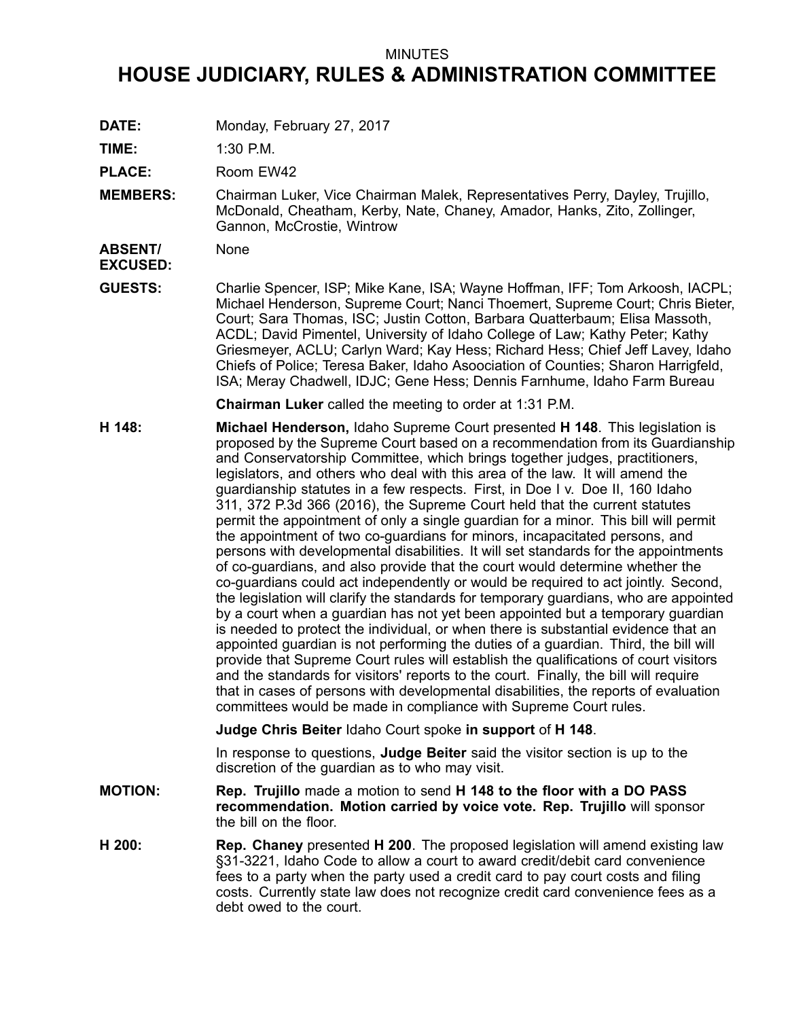### MINUTES

# **HOUSE JUDICIARY, RULES & ADMINISTRATION COMMITTEE**

**DATE:** Monday, February 27, 2017

**TIME:** 1:30 P.M.

PLACE: Room EW42

**MEMBERS:** Chairman Luker, Vice Chairman Malek, Representatives Perry, Dayley, Trujillo, McDonald, Cheatham, Kerby, Nate, Chaney, Amador, Hanks, Zito, Zollinger, Gannon, McCrostie, Wintrow

**ABSENT/ EXCUSED:** None

**GUESTS:** Charlie Spencer, ISP; Mike Kane, ISA; Wayne Hoffman, IFF; Tom Arkoosh, IACPL; Michael Henderson, Supreme Court; Nanci Thoemert, Supreme Court; Chris Bieter, Court; Sara Thomas, ISC; Justin Cotton, Barbara Quatterbaum; Elisa Massoth, ACDL; David Pimentel, University of Idaho College of Law; Kathy Peter; Kathy Griesmeyer, ACLU; Carlyn Ward; Kay Hess; Richard Hess; Chief Jeff Lavey, Idaho Chiefs of Police; Teresa Baker, Idaho Asoociation of Counties; Sharon Harrigfeld, ISA; Meray Chadwell, IDJC; Gene Hess; Dennis Farnhume, Idaho Farm Bureau

**Chairman Luker** called the meeting to order at 1:31 P.M.

**H 148: Michael Henderson,** Idaho Supreme Court presented **H 148**. This legislation is proposed by the Supreme Court based on <sup>a</sup> recommendation from its Guardianship and Conservatorship Committee, which brings together judges, practitioners, legislators, and others who deal with this area of the law. It will amend the guardianship statutes in <sup>a</sup> few respects. First, in Doe I v. Doe II, 160 Idaho 311, 372 P.3d 366 (2016), the Supreme Court held that the current statutes permit the appointment of only <sup>a</sup> single guardian for <sup>a</sup> minor. This bill will permit the appointment of two co-guardians for minors, incapacitated persons, and persons with developmental disabilities. It will set standards for the appointments of co-guardians, and also provide that the court would determine whether the co-guardians could act independently or would be required to act jointly. Second, the legislation will clarify the standards for temporary guardians, who are appointed by <sup>a</sup> court when <sup>a</sup> guardian has not yet been appointed but <sup>a</sup> temporary guardian is needed to protect the individual, or when there is substantial evidence that an appointed guardian is not performing the duties of <sup>a</sup> guardian. Third, the bill will provide that Supreme Court rules will establish the qualifications of court visitors and the standards for visitors' reports to the court. Finally, the bill will require that in cases of persons with developmental disabilities, the reports of evaluation committees would be made in compliance with Supreme Court rules.

**Judge Chris Beiter** Idaho Court spoke **in support** of **H 148**.

In response to questions, **Judge Beiter** said the visitor section is up to the discretion of the guardian as to who may visit.

- **MOTION: Rep. Trujillo** made <sup>a</sup> motion to send **H 148 to the floor with <sup>a</sup> DO PASS recommendation. Motion carried by voice vote. Rep. Trujillo** will sponsor the bill on the floor.
- **H 200: Rep. Chaney** presented **H 200**. The proposed legislation will amend existing law §31-3221, Idaho Code to allow <sup>a</sup> court to award credit/debit card convenience fees to <sup>a</sup> party when the party used <sup>a</sup> credit card to pay court costs and filing costs. Currently state law does not recognize credit card convenience fees as <sup>a</sup> debt owed to the court.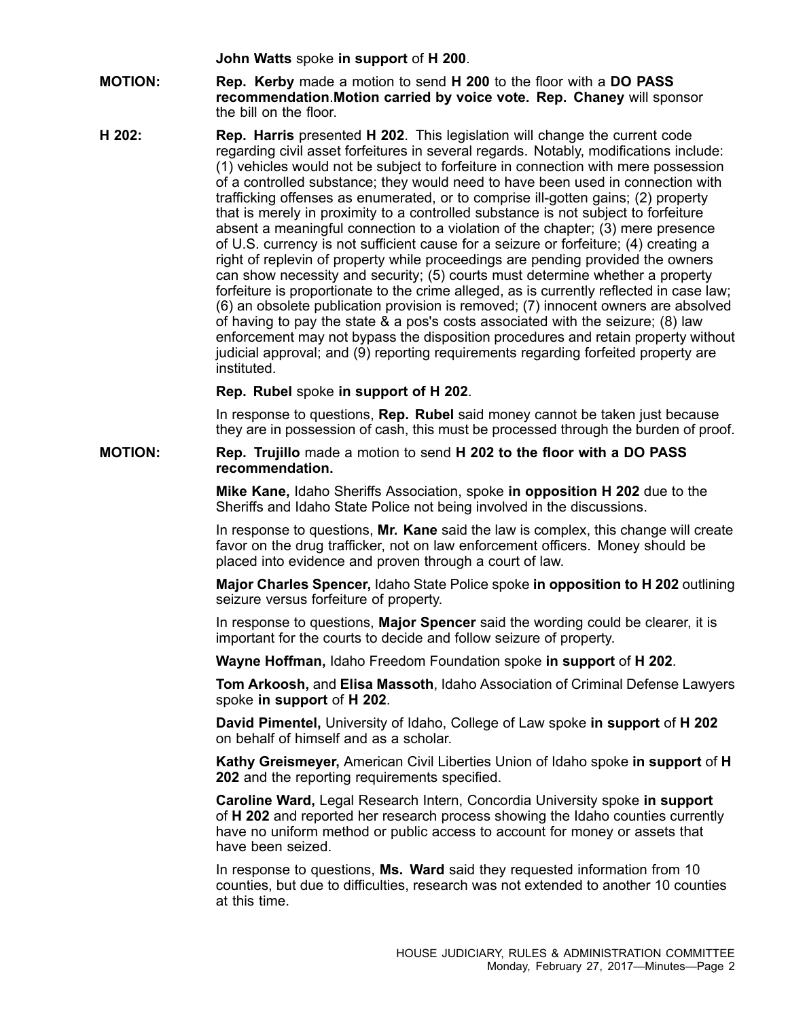**John Watts** spoke **in support** of **H 200**.

- **MOTION: Rep. Kerby** made <sup>a</sup> motion to send **H 200** to the floor with <sup>a</sup> **DO PASS recommendation**.**Motion carried by voice vote. Rep. Chaney** will sponsor the bill on the floor.
- **H 202: Rep. Harris** presented **H 202**. This legislation will change the current code regarding civil asset forfeitures in several regards. Notably, modifications include: (1) vehicles would not be subject to forfeiture in connection with mere possession of <sup>a</sup> controlled substance; they would need to have been used in connection with trafficking offenses as enumerated, or to comprise ill-gotten gains; (2) property that is merely in proximity to <sup>a</sup> controlled substance is not subject to forfeiture absent <sup>a</sup> meaningful connection to <sup>a</sup> violation of the chapter; (3) mere presence of U.S. currency is not sufficient cause for <sup>a</sup> seizure or forfeiture; (4) creating <sup>a</sup> right of replevin of property while proceedings are pending provided the owners can show necessity and security; (5) courts must determine whether <sup>a</sup> property forfeiture is proportionate to the crime alleged, as is currently reflected in case law; (6) an obsolete publication provision is removed; (7) innocent owners are absolved of having to pay the state & <sup>a</sup> pos's costs associated with the seizure; (8) law enforcement may not bypass the disposition procedures and retain property without judicial approval; and (9) reporting requirements regarding forfeited property are instituted.

### **Rep. Rubel** spoke **in support of H 202**.

In response to questions, **Rep. Rubel** said money cannot be taken just because they are in possession of cash, this must be processed through the burden of proof.

**MOTION: Rep. Trujillo** made <sup>a</sup> motion to send **H 202 to the floor with <sup>a</sup> DO PASS recommendation.**

> **Mike Kane,** Idaho Sheriffs Association, spoke **in opposition H 202** due to the Sheriffs and Idaho State Police not being involved in the discussions.

In response to questions, **Mr. Kane** said the law is complex, this change will create favor on the drug trafficker, not on law enforcement officers. Money should be placed into evidence and proven through <sup>a</sup> court of law.

**Major Charles Spencer,** Idaho State Police spoke **in opposition to H 202** outlining seizure versus forfeiture of property.

In response to questions, **Major Spencer** said the wording could be clearer, it is important for the courts to decide and follow seizure of property.

**Wayne Hoffman,** Idaho Freedom Foundation spoke **in support** of **H 202**.

**Tom Arkoosh,** and **Elisa Massoth**, Idaho Association of Criminal Defense Lawyers spoke **in support** of **H 202**.

**David Pimentel,** University of Idaho, College of Law spoke **in support** of **H 202** on behalf of himself and as a scholar.

**Kathy Greismeyer,** American Civil Liberties Union of Idaho spoke **in support** of **H 202** and the reporting requirements specified.

**Caroline Ward,** Legal Research Intern, Concordia University spoke **in support** of **H 202** and reported her research process showing the Idaho counties currently have no uniform method or public access to account for money or assets that have been seized.

In response to questions, **Ms. Ward** said they requested information from 10 counties, but due to difficulties, research was not extended to another 10 counties at this time.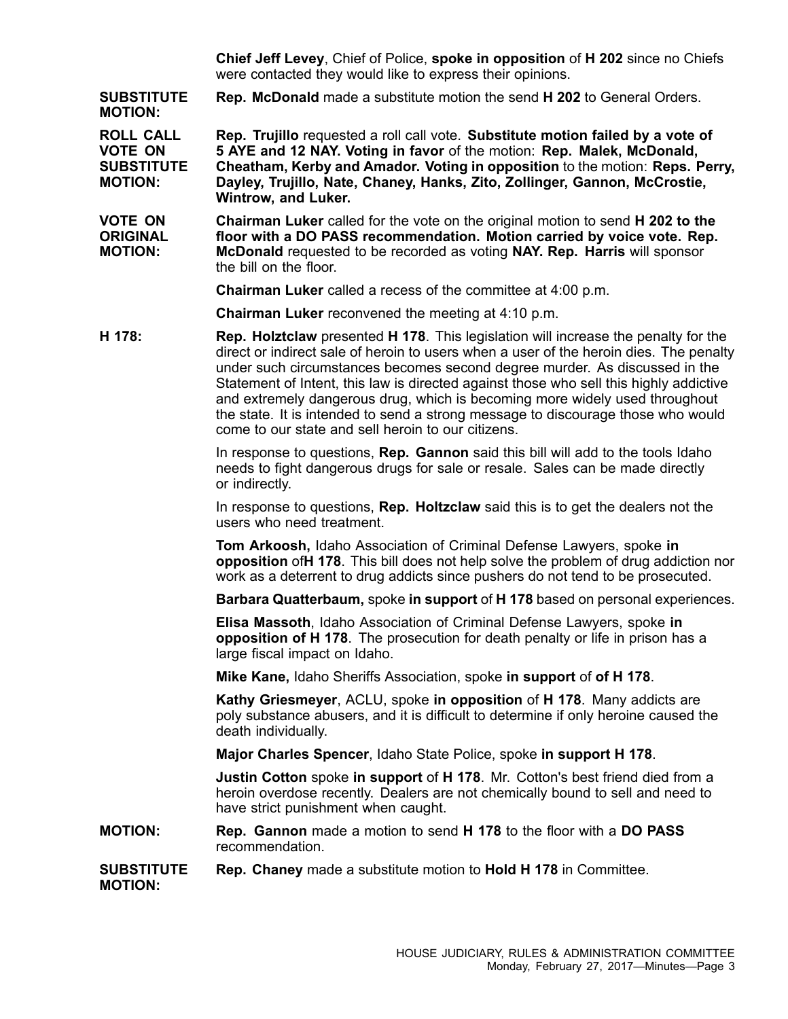**Chief Jeff Levey**, Chief of Police, **spoke in opposition** of **H 202** since no Chiefs were contacted they would like to express their opinions.

**SUBSTITUTE MOTION: Rep. McDonald** made <sup>a</sup> substitute motion the send **H 202** to General Orders.

**ROLL CALL VOTE ON SUBSTITUTE MOTION: Rep. Trujillo** requested <sup>a</sup> roll call vote. **Substitute motion failed by <sup>a</sup> vote of 5 AYE and 12 NAY. Voting in favor** of the motion: **Rep. Malek, McDonald, Cheatham, Kerby and Amador. Voting in opposition** to the motion: **Reps. Perry, Dayley, Trujillo, Nate, Chaney, Hanks, Zito, Zollinger, Gannon, McCrostie, Wintrow, and Luker.**

**VOTE ON ORIGINAL MOTION: Chairman Luker** called for the vote on the original motion to send **H 202 to the floor with <sup>a</sup> DO PASS recommendation. Motion carried by voice vote. Rep. McDonald** requested to be recorded as voting **NAY. Rep. Harris** will sponsor the bill on the floor.

**Chairman Luker** called <sup>a</sup> recess of the committee at 4:00 p.m.

**Chairman Luker** reconvened the meeting at 4:10 p.m.

**H 178: Rep. Holztclaw** presented **H 178**. This legislation will increase the penalty for the direct or indirect sale of heroin to users when <sup>a</sup> user of the heroin dies. The penalty under such circumstances becomes second degree murder. As discussed in the Statement of Intent, this law is directed against those who sell this highly addictive and extremely dangerous drug, which is becoming more widely used throughout the state. It is intended to send <sup>a</sup> strong message to discourage those who would come to our state and sell heroin to our citizens.

> In response to questions, **Rep. Gannon** said this bill will add to the tools Idaho needs to fight dangerous drugs for sale or resale. Sales can be made directly or indirectly.

> In response to questions, **Rep. Holtzclaw** said this is to get the dealers not the users who need treatment.

**Tom Arkoosh,** Idaho Association of Criminal Defense Lawyers, spoke **in opposition** of**H 178**. This bill does not help solve the problem of drug addiction nor work as <sup>a</sup> deterrent to drug addicts since pushers do not tend to be prosecuted.

**Barbara Quatterbaum,** spoke **in support** of **H 178** based on personal experiences.

**Elisa Massoth**, Idaho Association of Criminal Defense Lawyers, spoke **in opposition of H 178**. The prosecution for death penalty or life in prison has <sup>a</sup> large fiscal impact on Idaho.

**Mike Kane,** Idaho Sheriffs Association, spoke **in support** of **of H 178**.

**Kathy Griesmeyer**, ACLU, spoke **in opposition** of **H 178**. Many addicts are poly substance abusers, and it is difficult to determine if only heroine caused the death individually.

**Major Charles Spencer**, Idaho State Police, spoke **in support H 178**.

**Justin Cotton** spoke **in support** of **H 178**. Mr. Cotton's best friend died from <sup>a</sup> heroin overdose recently. Dealers are not chemically bound to sell and need to have strict punishment when caught.

## **MOTION: Rep. Gannon** made <sup>a</sup> motion to send **H 178** to the floor with <sup>a</sup> **DO PASS** recommendation.

#### **SUBSTITUTE Rep. Chaney** made <sup>a</sup> substitute motion to **Hold H 178** in Committee.

**MOTION:**